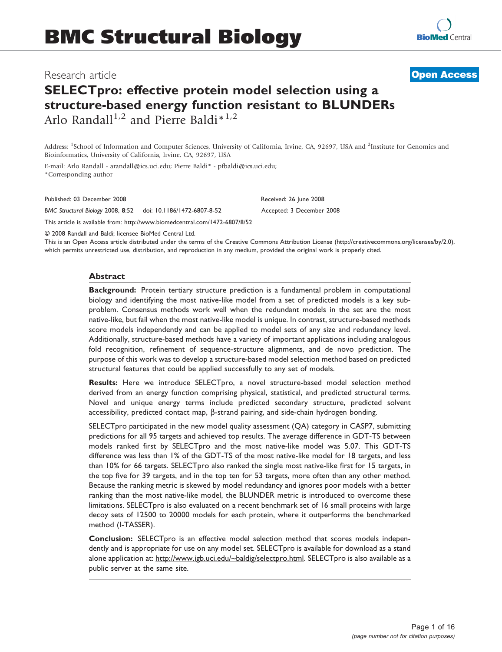# Research article

# SELECTpro: effective protein model selection using a structure-based energy function resistant to BLUNDERs Arlo Randall<sup>1,2</sup> and Pierre Baldi<sup>\*1,2</sup>

Address: <sup>1</sup>School of Information and Computer Sciences, University of California, Irvine, CA, 92697, USA and <sup>2</sup>Institute for Genomics and Bioinformatics, University of California, Irvine, CA, 92697, USA

E-mail: Arlo Randall - arandall@ics.uci.edu; Pierre Baldi\* - pfbaldi@ics.uci.edu; \*Corresponding author

Published: 03 December 2008 Received: 26 June 2008

BMC Structural Biology 2008, 8:52 doi: 10.1186/1472-6807-8-52 Accepted: 3 December 2008

This article is available from: http://www.biomedcentral.com/1472-6807/8/52

© 2008 Randall and Baldi; licensee BioMed Central Ltd.

This is an Open Access article distributed under the terms of the Creative Commons Attribution License [\(http://creativecommons.org/licenses/by/2.0\),](http://creativecommons.org/licenses/by/2.0) which permits unrestricted use, distribution, and reproduction in any medium, provided the original work is properly cited.

#### **Abstract**

Background: Protein tertiary structure prediction is a fundamental problem in computational biology and identifying the most native-like model from a set of predicted models is a key subproblem. Consensus methods work well when the redundant models in the set are the most native-like, but fail when the most native-like model is unique. In contrast, structure-based methods score models independently and can be applied to model sets of any size and redundancy level. Additionally, structure-based methods have a variety of important applications including analogous fold recognition, refinement of sequence-structure alignments, and de novo prediction. The purpose of this work was to develop a structure-based model selection method based on predicted structural features that could be applied successfully to any set of models.

Results: Here we introduce SELECTpro, a novel structure-based model selection method derived from an energy function comprising physical, statistical, and predicted structural terms. Novel and unique energy terms include predicted secondary structure, predicted solvent accessibility, predicted contact map,  $\beta$ -strand pairing, and side-chain hydrogen bonding.

SELECTpro participated in the new model quality assessment (QA) category in CASP7, submitting predictions for all 95 targets and achieved top results. The average difference in GDT-TS between models ranked first by SELECTpro and the most native-like model was 5.07. This GDT-TS difference was less than 1% of the GDT-TS of the most native-like model for 18 targets, and less than 10% for 66 targets. SELECTpro also ranked the single most native-like first for 15 targets, in the top five for 39 targets, and in the top ten for 53 targets, more often than any other method. Because the ranking metric is skewed by model redundancy and ignores poor models with a better ranking than the most native-like model, the BLUNDER metric is introduced to overcome these limitations. SELECTpro is also evaluated on a recent benchmark set of 16 small proteins with large decoy sets of 12500 to 20000 models for each protein, where it outperforms the benchmarked method (I-TASSER).

Conclusion: SELECTpro is an effective model selection method that scores models independently and is appropriate for use on any model set. SELECTpro is available for download as a stand alone application at: [http://www.igb.uci.edu/~baldig/selectpro.html. SELECTpro is also available as a](http://www.igb.uci.edu/~baldig/selectpro.html) [public server at the same site.](http://www.igb.uci.edu/~baldig/selectpro.html)



**[Open Access](http://www.biomedcentral.com/info/about/charter/)**

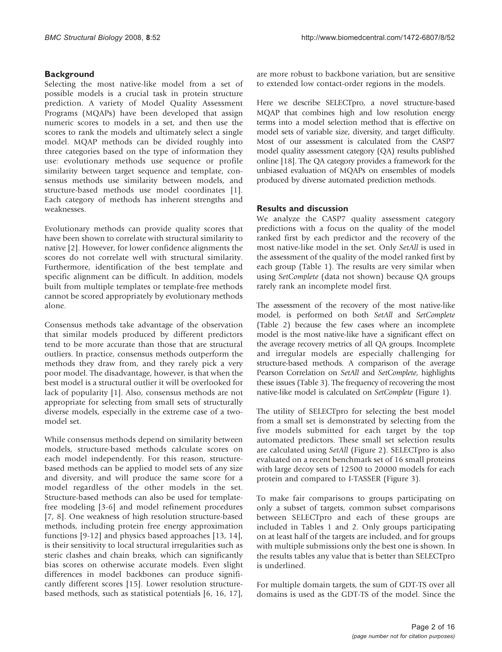### **Background**

Selecting the most native-like model from a set of possible models is a crucial task in protein structure prediction. A variety of Model Quality Assessment Programs (MQAPs) have been developed that assign numeric scores to models in a set, and then use the scores to rank the models and ultimately select a single model. MQAP methods can be divided roughly into three categories based on the type of information they use: evolutionary methods use sequence or profile similarity between target sequence and template, consensus methods use similarity between models, and structure-based methods use model coordinates [[1](#page-14-0)]. Each category of methods has inherent strengths and weaknesses.

Evolutionary methods can provide quality scores that have been shown to correlate with structural similarity to native [[2](#page-14-0)]. However, for lower confidence alignments the scores do not correlate well with structural similarity. Furthermore, identification of the best template and specific alignment can be difficult. In addition, models built from multiple templates or template-free methods cannot be scored appropriately by evolutionary methods alone.

Consensus methods take advantage of the observation that similar models produced by different predictors tend to be more accurate than those that are structural outliers. In practice, consensus methods outperform the methods they draw from, and they rarely pick a very poor model. The disadvantage, however, is that when the best model is a structural outlier it will be overlooked for lack of popularity [\[1\]](#page-14-0). Also, consensus methods are not appropriate for selecting from small sets of structurally diverse models, especially in the extreme case of a twomodel set.

While consensus methods depend on similarity between models, structure-based methods calculate scores on each model independently. For this reason, structurebased methods can be applied to model sets of any size and diversity, and will produce the same score for a model regardless of the other models in the set. Structure-based methods can also be used for templatefree modeling [\[3-6](#page-14-0)] and model refinement procedures [[7](#page-14-0), [8\]](#page-15-0). One weakness of high resolution structure-based methods, including protein free energy approximation functions [[9-12](#page-15-0)] and physics based approaches [[13, 14](#page-15-0)], is their sensitivity to local structural irregularities such as steric clashes and chain breaks, which can significantly bias scores on otherwise accurate models. Even slight differences in model backbones can produce significantly different scores [[15\]](#page-15-0). Lower resolution structurebased methods, such as statistical potentials [[6,](#page-14-0) [16, 17](#page-15-0)], are more robust to backbone variation, but are sensitive to extended low contact-order regions in the models.

Here we describe SELECTpro, a novel structure-based MQAP that combines high and low resolution energy terms into a model selection method that is effective on model sets of variable size, diversity, and target difficulty. Most of our assessment is calculated from the CASP7 model quality assessment category (QA) results published online [[18](#page-15-0)]. The QA category provides a framework for the unbiased evaluation of MQAPs on ensembles of models produced by diverse automated prediction methods.

### Results and discussion

We analyze the CASP7 quality assessment category predictions with a focus on the quality of the model ranked first by each predictor and the recovery of the most native-like model in the set. Only SetAll is used in the assessment of the quality of the model ranked first by each group (Table [1\)](#page-2-0). The results are very similar when using SetComplete (data not shown) because QA groups rarely rank an incomplete model first.

The assessment of the recovery of the most native-like model, is performed on both SetAll and SetComplete (Table [2](#page-3-0)) because the few cases where an incomplete model is the most native-like have a significant effect on the average recovery metrics of all QA groups. Incomplete and irregular models are especially challenging for structure-based methods. A comparison of the average Pearson Correlation on SetAll and SetComplete, highlights these issues (Table [3\)](#page-4-0). The frequency of recovering the most native-like model is calculated on SetComplete (Figure [1](#page-4-0)).

The utility of SELECTpro for selecting the best model from a small set is demonstrated by selecting from the five models submitted for each target by the top automated predictors. These small set selection results are calculated using SetAll (Figure [2\)](#page-4-0). SELECTpro is also evaluated on a recent benchmark set of 16 small proteins with large decoy sets of 12500 to 20000 models for each protein and compared to I-TASSER (Figure [3](#page-4-0)).

To make fair comparisons to groups participating on only a subset of targets, common subset comparisons between SELECTpro and each of these groups are included in Tables [1](#page-2-0) and [2.](#page-3-0) Only groups participating on at least half of the targets are included, and for groups with multiple submissions only the best one is shown. In the results tables any value that is better than SELECTpro is underlined.

For multiple domain targets, the sum of GDT-TS over all domains is used as the GDT-TS of the model. Since the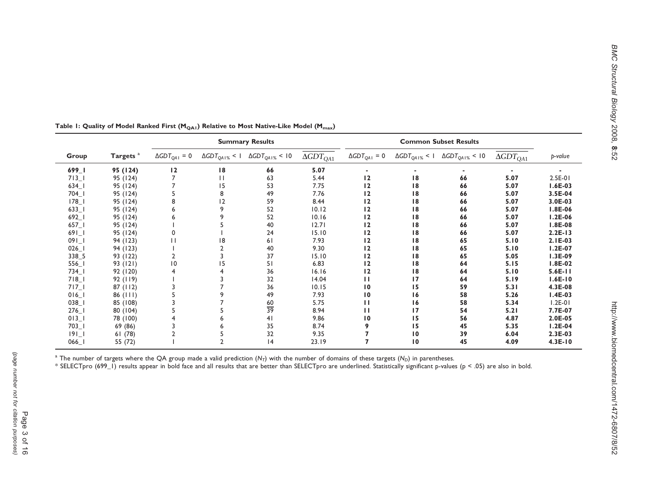http://www.biomedcentral.com/1472-6807/8/52

|                                     | Targets <sup>a</sup> | <b>Summary Results</b>    |                        |                                   |                               | <b>Common Subset Results</b> |                 |                                                    |                    |                |
|-------------------------------------|----------------------|---------------------------|------------------------|-----------------------------------|-------------------------------|------------------------------|-----------------|----------------------------------------------------|--------------------|----------------|
| Group                               |                      | $\triangle GDT_{QA1} = 0$ | $\Delta GDT_{QA1\%}<1$ | $\Delta$ GDT <sub>QA1%</sub> < 10 | $\overline{\Delta GDT_{QA1}}$ | $\Delta GDT_{QA1} = 0$       |                 | $\Delta GDT_{OA1\%}$ < 1 $\Delta GDT_{OA1\%}$ < 10 | $\Delta GDT_{QA1}$ | p-value        |
| $699 - 1$                           | 95 (124)             | 12                        | 18                     | 66                                | 5.07                          |                              |                 |                                                    |                    |                |
| $713$ <sup>-1</sup>                 | 95 (124)             |                           | П                      | 63                                | 5.44                          | 12                           | 18              | 66                                                 | 5.07               | 2.5E-01        |
| $634$ <sup><math>\vert</math></sup> | 95 (124)             |                           | 15                     | 53                                | 7.75                          | 12                           | 18              | 66                                                 | 5.07               | $1.6E-03$      |
| $704$ <sup><math>\vert</math></sup> | 95 (124)             |                           | 8                      | 49                                | 7.76                          | 12                           | 18              | 66                                                 | 5.07               | 3.5E-04        |
| $178$ <sup>-1</sup>                 | 95 (124)             | 8                         | 12                     | 59                                | 8.44                          | 12                           | 18              | 66                                                 | 5.07               | 3.0E-03        |
| $633$ <sup>-1</sup>                 | 95 (124)             |                           | 9                      | 52                                | 10.12                         | 12                           | 18              | 66                                                 | 5.07               | <b>I.8E-06</b> |
| $692 - 1$                           | 95 (124)             |                           |                        | 52                                | 10.16                         | 12                           | 18              | 66                                                 | 5.07               | $1.2E-06$      |
| $657$ <sup>-1</sup>                 | 95 (124)             |                           |                        | 40                                | 12.71                         | 12                           | 18              | 66                                                 | 5.07               | $1.8E-08$      |
| 691                                 | 95 (124)             |                           |                        | 24                                | 15.10                         | 12                           | 18              | 66                                                 | 5.07               | $2.2E-13$      |
| $091 - 1$                           | 94 (123)             |                           | 18                     | 61                                | 7.93                          | 12                           | 18              | 65                                                 | 5.10               | $2.1E-03$      |
| $026$                               | 94 (123)             |                           |                        | 40                                | 9.30                          | 12                           | 18              | 65                                                 | 5.10               | $1.2E-07$      |
| 338_5                               | 93 (122)             |                           |                        | 37                                | 15.10                         | 12                           | 18              | 65                                                 | 5.05               | $1.3E-09$      |
| $556$ <sup>-1</sup>                 | 93 (121)             | $\overline{10}$           | 15                     | 51                                | 6.83                          | 12                           | 18              | 64                                                 | 5.15               | I.8E-02        |
| $734$ <sup><math>\vert</math></sup> | 92 (120)             |                           |                        | 36                                | 16.16                         | 12                           | 18              | 64                                                 | 5.10               | $5.6E-11$      |
| $718$ <sup>-1</sup>                 | 92(119)              |                           |                        | 32                                | 14.04                         | п                            | 17              | 64                                                 | 5.19               | $1.6E-10$      |
| $717-1$                             | 87(112)              |                           |                        | 36                                | 10.15                         | $\overline{10}$              | 15              | 59                                                 | 5.31               | 4.3E-08        |
| $016$ <sup>-1</sup>                 | 86 (111)             |                           |                        | 49                                | 7.93                          | 10                           | 16              | 58                                                 | 5.26               | $I.4E-03$      |
| 038                                 | 85 (108)             |                           |                        | 60                                | 5.75                          | П                            | 16              | 58                                                 | 5.34               | $1.2E-01$      |
| $276$ <sup>-1</sup>                 | 80 (104)             |                           |                        | $\frac{1}{39}$                    | 8.94                          | п                            | 17              | 54                                                 | 5.21               | 7.7E-07        |
| $013$ <sup>-1</sup>                 | 78 (100)             |                           |                        | 41                                | 9.86                          | 10                           | 15              | 56                                                 | 4.87               | $2.0E-05$      |
| $703$ <sup>-1</sup>                 | 69 (86)              |                           |                        | 35                                | 8.74                          | 9                            | 15              | 45                                                 | 5.35               | $I.2E-04$      |
| 9                                   | 61(78)               |                           |                        | 32                                | 9.35                          |                              | 10              | 39                                                 | 6.04               | $2.3E-03$      |
| 066                                 | 55 (72)              |                           |                        | 4                                 | 23.19                         |                              | $\overline{10}$ | 45                                                 | 4.09               | $4.3E-10$      |

<span id="page-2-0"></span>Table 1: Quality of Model Ranked First ( $M_{QA1}$ ) Relative to Most Native-Like Model ( $M_{max}$ )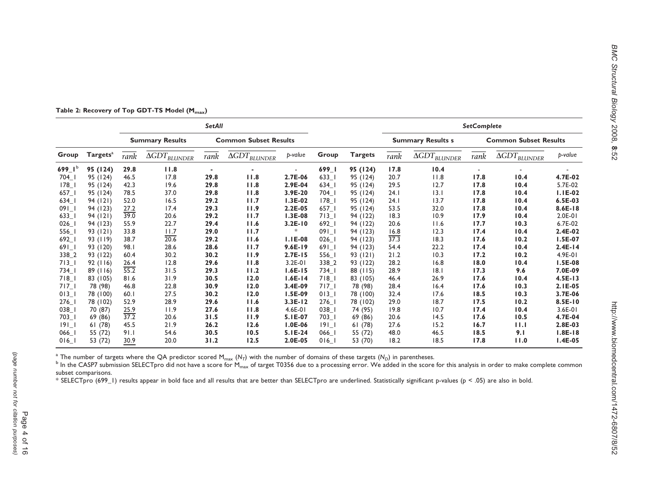|                                     |                      | <b>SetAll</b>          |                                   |                              |                                   |           |                                     |                          |      | <b>SetComplete</b>                |      |                                   |                |
|-------------------------------------|----------------------|------------------------|-----------------------------------|------------------------------|-----------------------------------|-----------|-------------------------------------|--------------------------|------|-----------------------------------|------|-----------------------------------|----------------|
|                                     |                      | <b>Summary Results</b> |                                   | <b>Common Subset Results</b> |                                   |           |                                     | <b>Summary Results s</b> |      | <b>Common Subset Results</b>      |      |                                   |                |
| Group                               | Targets <sup>a</sup> | rank                   | $\overline{\Delta GDT_{BLUNDER}}$ | rank                         | $\overline{\Delta GDT_{BLUNDER}}$ | b-value   | Group                               | <b>Targets</b>           | rank | $\overline{\Delta GDT_{BLUNDER}}$ | rank | $\overline{\Delta GDT_{BLUNDER}}$ | p-value        |
| 699_I <sup>b</sup>                  | 95 (124)             | 29.8                   | 11.8                              |                              |                                   |           | 699_I                               | 95 (124)                 | 17.8 | 10.4                              |      |                                   |                |
| $704$ <sup><math>\vert</math></sup> | 95 (124)             | 46.5                   | 17.8                              | 29.8                         | 11.8                              | $2.7E-06$ | $633$ <sup>-1</sup>                 | 95 (124)                 | 20.7 | 11.8                              | 17.8 | 10.4                              | 4.7E-02        |
| $178$ <sup>-1</sup>                 | 95 (124)             | 42.3                   | 19.6                              | 29.8                         | 11.8                              | 2.9E-04   | 634 l                               | 95 (124)                 | 29.5 | 12.7                              | 17.8 | 10.4                              | 5.7E-02        |
| $657$ <sup>-1</sup>                 | 95 (124)             | 78.5                   | 37.0                              | 29.8                         | 11.8                              | 3.9E-20   | $704$ <sup><math>\vert</math></sup> | 95 (124)                 | 24.1 | 13.1                              | 17.8 | 10.4                              | $I.IE-02$      |
| 634                                 | 94 (121)             | 52.0                   | 16.5                              | 29.2                         | 11.7                              | $1.3E-02$ | $178-1$                             | 95 (124)                 | 24.1 | 13.7                              | 17.8 | 10.4                              | 6.5E-03        |
| $091 - 1$                           | 94 (123)             | 27.2                   | 17.4                              | 29.3                         | 11.9                              | $2.2E-05$ | $657$ <sup>-1</sup>                 | 95 (124)                 | 53.5 | 32.0                              | 17.8 | 10.4                              | $8.6E-18$      |
| $633$                               | 94 (121)             | 39.0                   | 20.6                              | 29.2                         | 11.7                              | $1.3E-08$ | 713                                 | 94 (122)                 | 18.3 | 10.9                              | 17.9 | 10.4                              | 2.0E-01        |
| $026$                               | 94 (123)             | 55.9                   | 22.7                              | 29.4                         | 11.6                              | $3.2E-10$ | 692                                 | 94 (122)                 | 20.6 | 11.6                              | 17.7 | 10.3                              | 6.7E-02        |
| $556$                               | 93 (121)             | 33.8                   | 11.7                              | 29.0                         | 11.7                              | $\ast$    | $091 - 1$                           | 94 (123)                 | 16.8 | 12.3                              | 17.4 | 10.4                              | 2.4E-02        |
| $692 - 1$                           | 93 (119)             | 38.7                   | $\overline{20.6}$                 | 29.2                         | 11.6                              | $I.IE-08$ | $026$                               | 94 (123)                 | 37.3 | 18.3                              | 17.6 | 10.2                              | <b>I.5E-07</b> |
| $691 - 1$                           | 93 (120)             | 98.I                   | 28.6                              | 28.6                         | 11.7                              | $9.6E-19$ | 691                                 | 94 (123)                 | 54.4 | 22.2                              | 17.4 | 10.4                              | $2.4E-14$      |
| 338_2                               | 93 (122)             | 60.4                   | 30.2                              | 30.2                         | 11.9                              | $2.7E-15$ | $556$                               | 93 (121)                 | 21.2 | 10.3                              | 17.2 | 10.2                              | 4.9E-01        |
| $713$ <sup>-1</sup>                 | 92(116)              | 26.4                   | 12.8                              | 29.6                         | 11.8                              | 3.2E-01   | 338 2                               | 93 (122)                 | 28.2 | 16.8                              | 18.0 | 10.4                              | <b>I.5E-08</b> |
| $734$                               | 89(116)              | $\frac{1}{55.2}$       | 31.5                              | 29.3                         | 11.2                              | $1.6E-15$ | $734$                               | 88 (115)                 | 28.9 | 8.1                               | 17.3 | 9.6                               | 7.0E-09        |
| 718                                 | 83 (105)             | 81.6                   | 31.9                              | 30.5                         | 12.0                              | $1.6E-14$ | 718                                 | 83 (105)                 | 46.4 | 26.9                              | 17.6 | 10.4                              | $4.5E-13$      |
| $717-1$                             | 78 (98)              | 46.8                   | 22.8                              | 30.9                         | 12.0                              | 3.4E-09   | $717-1$                             | 78 (98)                  | 28.4 | 16.4                              | 17.6 | 10.3                              | 2.1E-05        |
| 013                                 | 78 (100)             | 60.1                   | 27.5                              | 30.2                         | 12.0                              | $1.5E-09$ | 013                                 | 78 (100)                 | 32.4 | 17.6                              | 18.5 | 10.3                              | 3.7E-06        |
| $276$                               | 78 (102)             | 52.9                   | 28.9                              | 29.6                         | 11.6                              | $3.3E-12$ | $276 - 1$                           | 78 (102)                 | 29.0 | 18.7                              | 17.5 | 10.2                              | 8.5E-10        |
| $038$                               | 70 (87)              | 25.9                   | 11.9                              | 27.6                         | 11.8                              | $4.6E-01$ | $038$                               | 74 (95)                  | 19.8 | 10.7                              | 17.4 | 10.4                              | 3.6E-01        |
| $703$ <sup>-1</sup>                 | 69 (86)              | 37.2                   | 20.6                              | 31.5                         | 11.9                              | 5.1E-07   | $703$ <sup>-1</sup>                 | 69 (86)                  | 20.6 | 14.5                              | 17.6 | 10.5                              | 4.7E-04        |
| 9                                   | 61(78)               | 45.5                   | 21.9                              | 26.2                         | 12.6                              | $1.0E-06$ | 9                                   | 61(78)                   | 27.6 | 15.2                              | 16.7 | 11.1                              | 2.8E-03        |
| $066$                               | 55 (72)              | 91.1                   | 54.6                              | 30.5                         | 10.5                              | 5.1E-24   | 066 l                               | 55 (72)                  | 48.0 | 46.5                              | 18.5 | 9.1                               | $1.8E-18$      |
| $016_l$                             | 53 (72)              | 30.9                   | 20.0                              | 31.2                         | 12.5                              | 2.0E-05   | $016$ <sup>-1</sup>                 | 53 (70)                  | 18.2 | 18.5                              | 17.8 | 11.0                              | $1.4E-05$      |

<span id="page-3-0"></span>Table 2: Recovery of Top GDT-TS Model  $(M_{max})$ 

 $^{\rm a}$  The number of targets where the QA predictor scored M<sub>max</sub> (N<sub>7</sub>) with the number of domains of these targets (N<sub>D</sub>) in parentheses.<br><sup>b</sup> In the CASP7 submission SELECTpro did not have a score for M<sub>max</sub> of target subset comparisons.

\* SELECTpro (699\_1) results appear in bold face and all results that are better than SELECTpro are underlined. Statistically significant p-values (p <sup>&</sup>lt; .05) are also in bold.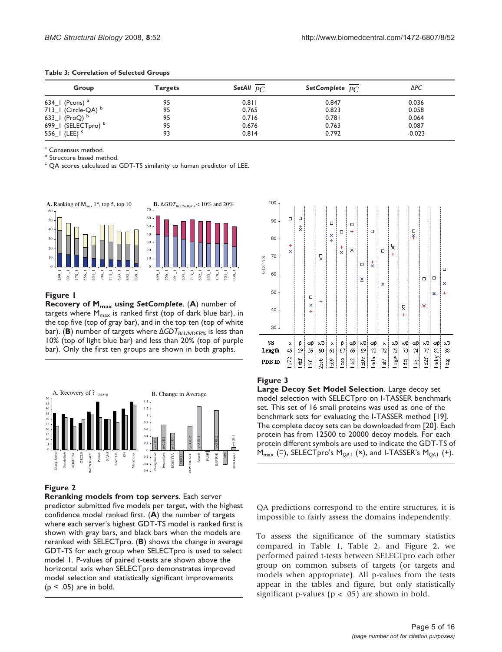| Group                       | <b>Targets</b> | SetAll $p_{\text{C}}$ | SetComplete $p_C$ | ∆PC      |  |
|-----------------------------|----------------|-----------------------|-------------------|----------|--|
| 634_1 (Pcons) $^{\rm a}$    | 95             | $0.8$   $\mid$        | 0.847             | 0.036    |  |
| 713_1 (Circle-QA) b         | 95             | 0.765                 | 0.823             | 0.058    |  |
| 633_1 (ProQ) $^{b}$         | 95             | 0.716                 | 0.781             | 0.064    |  |
| 699_I (SELECTpro) b         | 95             | 0.676                 | 0.763             | 0.087    |  |
| 556 $\vert$ (LEE) $\degree$ | 93             | 0.814                 | 0.792             | $-0.023$ |  |

<span id="page-4-0"></span>

| Table 3: Correlation of Selected Groups |  |  |
|-----------------------------------------|--|--|
|-----------------------------------------|--|--|

 $\overset{a}{\circ}$  Consensus method.<br>  $\overset{b}{\circ}$  Structure based method.

QA scores calculated as GDT-TS similarity to human predictor of LEE.



### Figure 1

Recovery of M<sub>max</sub> using SetComplete. (A) number of targets where  $M_{\text{max}}$  is ranked first (top of dark blue bar), in the top five (top of gray bar), and in the top ten (top of white bar). (B) number of targets where  $\Delta GDT_{BLUNDERS}$  is less than 10% (top of light blue bar) and less than 20% (top of purple bar). Only the first ten groups are shown in both graphs.



### Figure 2

Reranking models from top servers. Each server predictor submitted five models per target, with the highest confidence model ranked first. (A) the number of targets where each server's highest GDT-TS model is ranked first is shown with gray bars, and black bars when the models are reranked with SELECTpro. (B) shows the change in average GDT-TS for each group when SELECTpro is used to select model 1. P-values of paired t-tests are shown above the horizontal axis when SELECTpro demonstrates improved model selection and statistically significant improvements  $(p < .05)$  are in bold.



### Figure 3

Large Decoy Set Model Selection. Large decoy set model selection with SELECTpro on I-TASSER benchmark set. This set of 16 small proteins was used as one of the benchmark sets for evaluating the I-TASSER method [\[19](#page-15-0)]. The complete decoy sets can be downloaded from [[20](#page-15-0)]. Each protein has from 12500 to 20000 decoy models. For each protein different symbols are used to indicate the GDT-TS of  $M_{\text{max}}$  ( $\square$ ), SELECTpro's  $M_{\text{OAI}}$  ( $\times$ ), and I-TASSER's  $M_{\text{OAI}}$  ( $+$ ).

QA predictions correspond to the entire structures, it is impossible to fairly assess the domains independently.

To assess the significance of the summary statistics compared in Table [1](#page-2-0), Table [2,](#page-3-0) and Figure 2, we performed paired t-tests between SELECTpro each other group on common subsets of targets (or targets and models when appropriate). All p-values from the tests appear in the tables and figure, but only statistically significant p-values ( $p < .05$ ) are shown in bold.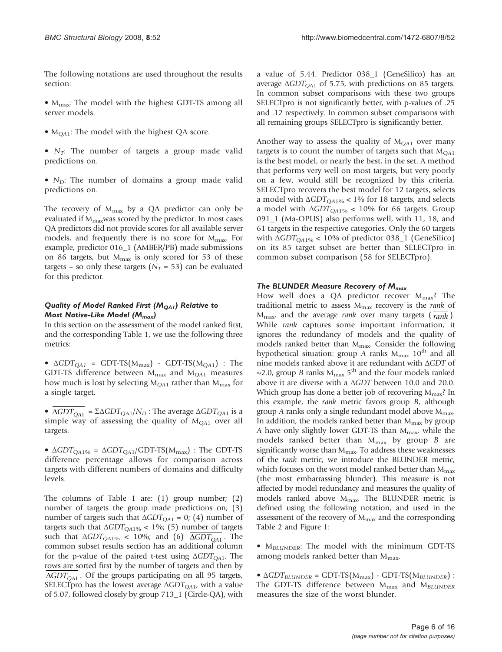The following notations are used throughout the results section:

•  $M_{\text{max}}$ : The model with the highest GDT-TS among all server models.

- $M<sub>OA1</sub>$ : The model with the highest QA score.
- $N_T$ : The number of targets a group made valid predictions on.
- $N_D$ : The number of domains a group made valid predictions on.

The recovery of  $M_{\text{max}}$  by a QA predictor can only be evaluated if  $M_{\text{max}}$ was scored by the predictor. In most cases QA predictors did not provide scores for all available server models, and frequently there is no score for  $M_{\text{max}}$ . For example, predictor 016\_1 (AMBER/PB) made submissions on 86 targets, but  $M_{\text{max}}$  is only scored for 53 of these targets – so only these targets ( $N_T$  = 53) can be evaluated for this predictor.

### Quality of Model Ranked First ( $M_{OAI}$ ) Relative to Most Native-Like Model ( $M_{max}$ )

In this section on the assessment of the model ranked first, and the corresponding Table [1,](#page-2-0) we use the following three metrics:

•  $\Delta GDT_{QA1}$  = GDT-TS( $M_{max}$ ) - GDT-TS( $M_{QA1}$ ) : The GDT-TS difference between  $M_{\text{max}}$  and  $M_{\text{O}}$  measures how much is lost by selecting  $M_{QA1}$  rather than  $M_{max}$  for a single target.

•  $\overline{\triangle$ *GDT*<sub>QA1</sub> = Σ $\triangle$ *GDT*<sub>QA1</sub>/N<sub>D</sub>: The average  $\triangle$ *GDT*<sub>QA1</sub> is a simple way of assessing the quality of  $M<sub>OA1</sub>$  over all targets.

•  $\Delta GDT_{QA1\%} = \Delta GDT_{QA1}/GDT-TS(M_{max})$ : The GDT-TS difference percentage allows for comparison across targets with different numbers of domains and difficulty levels.

The columns of Table [1](#page-2-0) are: (1) group number; (2) number of targets the group made predictions on; (3) number of targets such that  $\triangle GDT_{OA1} = 0$ ; (4) number of targets such that  $\Delta GDT_{QA1\%}$  < 1%; (5) number of targets such that  $\Delta GDT_{QA1\%}$  < 10%; and (6)  $\Delta GDT_{OA1}$ . The common subset results section has an additional column for the p-value of the paired t-test using  $\Delta GDT<sub>OA1</sub>$ . The rows are sorted first by the number of targets and then by  $\Delta GDT_{OA1}$ . Of the groups participating on all 95 targets, SELECTpro has the lowest average  $\Delta GDT_{QA1}$ , with a value of 5.07, followed closely by group 713\_1 (Circle-QA), with

a value of 5.44. Predictor 038\_1 (GeneSilico) has an average  $ΔGDT<sub>OA1</sub>$  of 5.75, with predictions on 85 targets. In common subset comparisons with these two groups SELECTpro is not significantly better, with p-values of .25 and .12 respectively. In common subset comparisons with all remaining groups SELECTpro is significantly better.

Another way to assess the quality of  $M<sub>QA1</sub>$  over many targets is to count the number of targets such that  $M<sub>O41</sub>$ is the best model, or nearly the best, in the set. A method that performs very well on most targets, but very poorly on a few, would still be recognized by this criteria. SELECTpro recovers the best model for 12 targets, selects a model with  $\Delta GDT_{OA1\%}$  < 1% for 18 targets, and selects a model with  $\Delta GDT_{QA1\%}$  < 10% for 66 targets. Group 091\_1 (Ma-OPUS) also performs well, with 11, 18, and 61 targets in the respective categories. Only the 60 targets with  $\Delta GDT_{OA1\%}$  < 10% of predictor 038\_1 (GeneSilico) on its 85 target subset are better than SELECTpro in common subset comparison (58 for SELECTpro).

### The BLUNDER Measure Recovery of  $M_{max}$

How well does a QA predictor recover  $M_{\text{max}}$ ? The traditional metric to assess  $M_{\text{max}}$  recovery is the *rank* of  $M_{\text{max}}$  and the average *rank* over many targets ( $\overline{rank}$ ). While rank captures some important information, it ignores the redundancy of models and the quality of models ranked better than Mmax. Consider the following hypothetical situation: group A ranks  $M_{\text{max}}$  10<sup>th</sup> and all nine models ranked above it are redundant with ΔGDT of ~2.0, group B ranks  $M_{\text{max}}$  5<sup>th</sup> and the four models ranked above it are diverse with a ΔGDT between 10.0 and 20.0. Which group has done a better job of recovering  $M_{\text{max}}$ ? In this example, the rank metric favors group B, although group A ranks only a single redundant model above  $M_{\text{max}}$ . In addition, the models ranked better than  $M_{\text{max}}$  by group A have only slightly lower GDT-TS than  $M_{\text{max}}$ , while the models ranked better than  $M_{\text{max}}$  by group  $B$  are significantly worse than  $M_{\text{max}}$ . To address these weaknesses of the rank metric, we introduce the BLUNDER metric, which focuses on the worst model ranked better than  $M_{\text{max}}$ (the most embarrassing blunder). This measure is not affected by model redundancy and measures the quality of models ranked above  $M_{\text{max}}$ . The BLUNDER metric is defined using the following notation, and used in the assessment of the recovery of  $M_{\text{max}}$  and the corresponding Table [2](#page-3-0) and Figure [1](#page-4-0):

 $\bullet$  M<sub>BLUNDER</sub>: The model with the minimum GDT-TS among models ranked better than  $M_{\text{max}}$ .

 $\bullet$   $\Delta GDT_{BLUNDER}$  = GDT-TS( $M_{max}$ ) - GDT-TS( $M_{BLUNDER}$ ) : The GDT-TS difference between  $M_{\text{max}}$  and  $M_{\text{BLUNDER}}$ measures the size of the worst blunder.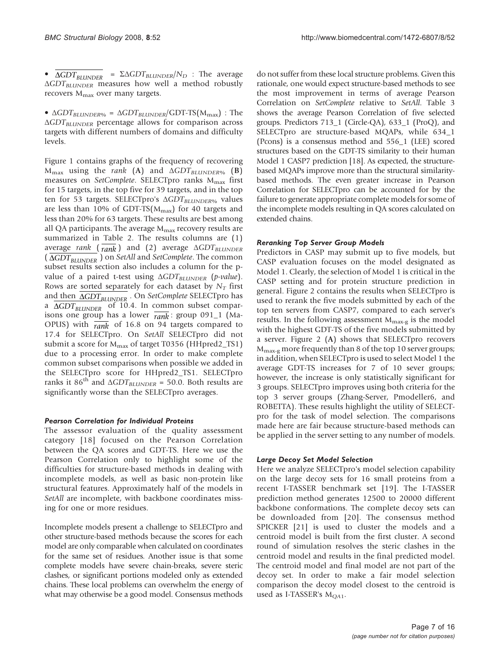•  $\Delta GDT_{BLUNDER}$  =  $\Sigma \Delta GDT_{BLUNDER}/N_D$  : The average  $\Delta GDT_{BLUNDER}$  measures how well a method robustly recovers  $M_{\text{max}}$  over many targets.

•  $\Delta GDT_{BLUNDER\%} = \Delta GDT_{BLUNDER}/GDT-TS(M_{max})$ : The  $\Delta GDT_{BLUNDER}$  percentage allows for comparison across targets with different numbers of domains and difficulty levels.

Figure [1](#page-4-0) contains graphs of the frequency of recovering  $M_{\text{max}}$  using the rank (A) and  $\Delta GDT_{\text{BLUNDER}\%}$  (B) measures on SetComplete. SELECTpro ranks  $M_{\text{max}}$  first for 15 targets, in the top five for 39 targets, and in the top ten for 53 targets. SELECTpro's  $\Delta GDT_{BLUNDER\%}$  values are less than 10% of GDT-TS( $M_{\text{max}}$ ) for 40 targets and less than 20% for 63 targets. These results are best among all QA participants. The average  $M_{\text{max}}$  recovery results are summarized in Table [2](#page-3-0). The results columns are (1) average rank  $(\overline{rank})$  and (2) average  $\Delta GDT_{BLUNDER}$ ( $\overline{\triangle GDT_{BLUNDER}}$ ) on *SetAll* and *SetComplete*. The common subset results section also includes a column for the pvalue of a paired t-test using  $\Delta GDT_{BLUNDER}$  (p-value). Rows are sorted separately for each dataset by  $N_T$  first and then  $\overline{\triangle GDT_{BLUNDER}}$ . On SetComplete SELECTpro has a  $\Delta GDT_{BLUNDER}$  of 10.4. In common subset comparisons one group has a lower *rank* : group 091\_1 (Ma-OPUS) with *rank* of 16.8 on 94 targets compared to 17.4 for SELECTpro. On SetAll SELECTpro did not submit a score for M<sub>max</sub> of target T0356 (HHpred2\_TS1) due to a processing error. In order to make complete common subset comparisons when possible we added in the SELECTpro score for HHpred2\_TS1. SELECTpro ranks it  $86^{th}$  and  $\Delta GDT_{BLUNDER}$  = 50.0. Both results are significantly worse than the SELECTpro averages.

### Pearson Correlation for Individual Proteins

The assessor evaluation of the quality assessment category [[18\]](#page-15-0) focused on the Pearson Correlation between the QA scores and GDT-TS. Here we use the Pearson Correlation only to highlight some of the difficulties for structure-based methods in dealing with incomplete models, as well as basic non-protein like structural features. Approximately half of the models in SetAll are incomplete, with backbone coordinates missing for one or more residues.

Incomplete models present a challenge to SELECTpro and other structure-based methods because the scores for each model are only comparable when calculated on coordinates for the same set of residues. Another issue is that some complete models have severe chain-breaks, severe steric clashes, or significant portions modeled only as extended chains. These local problems can overwhelm the energy of what may otherwise be a good model. Consensus methods do not suffer from these local structure problems. Given this rationale, one would expect structure-based methods to see the most improvement in terms of average Pearson Correlation on SetComplete relative to SetAll. Table [3](#page-4-0) shows the average Pearson Correlation of five selected groups. Predictors 713\_1 (Circle-QA), 633\_1 (ProQ), and SELECTpro are structure-based MQAPs, while 634\_1 (Pcons) is a consensus method and 556\_1 (LEE) scored structures based on the GDT-TS similarity to their human Model 1 CASP7 prediction [[18](#page-15-0)]. As expected, the structurebased MQAPs improve more than the structural similaritybased methods. The even greater increase in Pearson Correlation for SELECTpro can be accounted for by the failure to generate appropriate complete models for some of the incomplete models resulting in QA scores calculated on extended chains.

### Reranking Top Server Group Models

Predictors in CASP may submit up to five models, but CASP evaluation focuses on the model designated as Model 1. Clearly, the selection of Model 1 is critical in the CASP setting and for protein structure prediction in general. Figure [2](#page-4-0) contains the results when SELECTpro is used to rerank the five models submitted by each of the top ten servers from CASP7, compared to each server's results. In the following assessment  $M_{\text{max-g}}$  is the model with the highest GDT-TS of the five models submitted by a server. Figure [2](#page-4-0) (A) shows that SELECTpro recovers Mmax-g more frequently than 8 of the top 10 server groups; in addition, when SELECTpro is used to select Model 1 the average GDT-TS increases for 7 of 10 sever groups; however, the increase is only statistically significant for 3 groups. SELECTpro improves using both criteria for the top 3 server groups (Zhang-Server, Pmodeller6, and ROBETTA). These results highlight the utility of SELECTpro for the task of model selection. The comparisons made here are fair because structure-based methods can be applied in the server setting to any number of models.

### Large Decoy Set Model Selection

Here we analyze SELECTpro's model selection capability on the large decoy sets for 16 small proteins from a recent I-TASSER benchmark set [[19\]](#page-15-0). The I-TASSER prediction method generates 12500 to 20000 different backbone conformations. The complete decoy sets can be downloaded from [[20](#page-15-0)]. The consensus method SPICKER [[21\]](#page-15-0) is used to cluster the models and a centroid model is built from the first cluster. A second round of simulation resolves the steric clashes in the centroid model and results in the final predicted model. The centroid model and final model are not part of the decoy set. In order to make a fair model selection comparison the decoy model closest to the centroid is used as I-TASSER's  $M_{OA1}$ .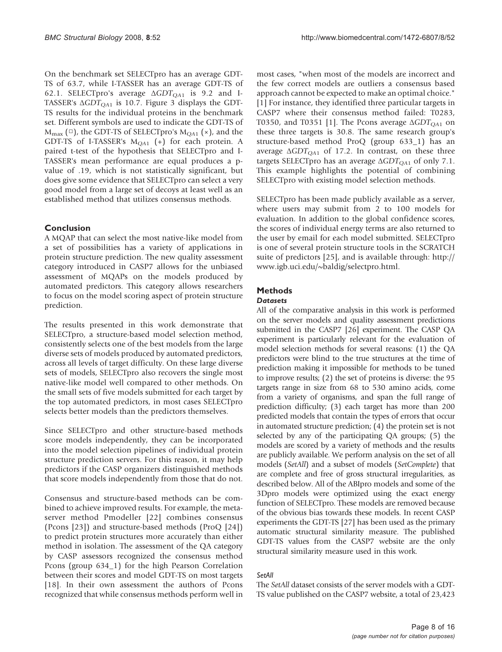On the benchmark set SELECTpro has an average GDT-TS of 63.7, while I-TASSER has an average GDT-TS of 62.1. SELECTpro's average  $\triangle GDT_{QA1}$  is 9.2 and I-TASSER's  $\triangle GDT_{QA1}$  is 10.7. Figure [3](#page-4-0) displays the GDT-TS results for the individual proteins in the benchmark set. Different symbols are used to indicate the GDT-TS of  $M_{\text{max}}$  ( $\Box$ ), the GDT-TS of SELECTpro's  $M_{\text{OA1}}$  ( $\times$ ), and the GDT-TS of I-TASSER's  $M_{QA1}$  (+) for each protein. A paired t-test of the hypothesis that SELECTpro and I-TASSER's mean performance are equal produces a pvalue of .19, which is not statistically significant, but does give some evidence that SELECTpro can select a very good model from a large set of decoys at least well as an established method that utilizes consensus methods.

### Conclusion

A MQAP that can select the most native-like model from a set of possibilities has a variety of applications in protein structure prediction. The new quality assessment category introduced in CASP7 allows for the unbiased assessment of MQAPs on the models produced by automated predictors. This category allows researchers to focus on the model scoring aspect of protein structure prediction.

The results presented in this work demonstrate that SELECTpro, a structure-based model selection method, consistently selects one of the best models from the large diverse sets of models produced by automated predictors, across all levels of target difficulty. On these large diverse sets of models, SELECTpro also recovers the single most native-like model well compared to other methods. On the small sets of five models submitted for each target by the top automated predictors, in most cases SELECTpro selects better models than the predictors themselves.

Since SELECTpro and other structure-based methods score models independently, they can be incorporated into the model selection pipelines of individual protein structure prediction servers. For this reason, it may help predictors if the CASP organizers distinguished methods that score models independently from those that do not.

Consensus and structure-based methods can be combined to achieve improved results. For example, the metaserver method Pmodeller [\[22\]](#page-15-0) combines consensus (Pcons [[23\]](#page-15-0)) and structure-based methods (ProQ [[24\]](#page-15-0)) to predict protein structures more accurately than either method in isolation. The assessment of the QA category by CASP assessors recognized the consensus method Pcons (group 634\_1) for the high Pearson Correlation between their scores and model GDT-TS on most targets [[18\]](#page-15-0). In their own assessment the authors of Pcons recognized that while consensus methods perform well in

most cases, "when most of the models are incorrect and the few correct models are outliers a consensus based approach cannot be expected to make an optimal choice." [[1](#page-14-0)] For instance, they identified three particular targets in CASP7 where their consensus method failed: T0283, T0350, and T0351 [[1\]](#page-14-0). The Pcons average  $\Delta GDT_{OA1}$  on these three targets is 30.8. The same research group's structure-based method ProQ (group 633\_1) has an average  $\Delta GDT_{OA1}$  of 17.2. In contrast, on these three targets SELECTpro has an average  $\Delta GDT_{QA1}$  of only 7.1. This example highlights the potential of combining SELECTpro with existing model selection methods.

SELECTpro has been made publicly available as a server, where users may submit from 2 to 100 models for evaluation. In addition to the global confidence scores, the scores of individual energy terms are also returned to the user by email for each model submitted. SELECTpro is one of several protein structure tools in the SCRATCH suite of predictors [[25](#page-15-0)], and is available through: [http://](http://www.igb.uci.edu/~baldig/selectpro.html) [www.igb.uci.edu/~baldig/selectpro.html.](http://www.igb.uci.edu/~baldig/selectpro.html)

## Methods

### **Datasets**

All of the comparative analysis in this work is performed on the server models and quality assessment predictions submitted in the CASP7 [[26](#page-15-0)] experiment. The CASP QA experiment is particularly relevant for the evaluation of model selection methods for several reasons: (1) the QA predictors were blind to the true structures at the time of prediction making it impossible for methods to be tuned to improve results; (2) the set of proteins is diverse: the 95 targets range in size from 68 to 530 amino acids, come from a variety of organisms, and span the full range of prediction difficulty; (3) each target has more than 200 predicted models that contain the types of errors that occur in automated structure prediction; (4) the protein set is not selected by any of the participating QA groups; (5) the models are scored by a variety of methods and the results are publicly available. We perform analysis on the set of all models (SetAll) and a subset of models (SetComplete) that are complete and free of gross structural irregularities, as described below. All of the ABIpro models and some of the 3Dpro models were optimized using the exact energy function of SELECTpro. These models are removed because of the obvious bias towards these models. In recent CASP experiments the GDT-TS [[27](#page-15-0)] has been used as the primary automatic structural similarity measure. The published GDT-TS values from the CASP7 website are the only structural similarity measure used in this work.

### SetAll

The SetAll dataset consists of the server models with a GDT-TS value published on the CASP7 website, a total of 23,423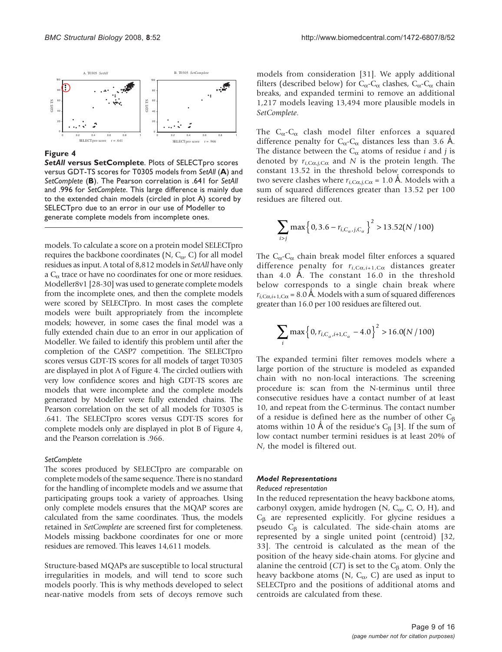

#### Figure 4

SetAll versus SetComplete. Plots of SELECTpro scores versus GDT-TS scores for T0305 models from SetAll (A) and SetComplete (B). The Pearson correlation is .641 for SetAll and .996 for SetComplete. This large difference is mainly due to the extended chain models (circled in plot A) scored by SELECTpro due to an error in our use of Modeller to generate complete models from incomplete ones.

models. To calculate a score on a protein model SELECTpro requires the backbone coordinates (N,  $C_{\alpha}$ , C) for all model residues as input. A total of 8,812 models in SetAll have only a  $C_{\alpha}$  trace or have no coordinates for one or more residues. Modeller8v1 [\[28-30](#page-15-0)] was used to generate complete models from the incomplete ones, and then the complete models were scored by SELECTpro. In most cases the complete models were built appropriately from the incomplete models; however, in some cases the final model was a fully extended chain due to an error in our application of Modeller. We failed to identify this problem until after the completion of the CASP7 competition. The SELECTpro scores versus GDT-TS scores for all models of target T0305 are displayed in plot A of Figure 4. The circled outliers with very low confidence scores and high GDT-TS scores are models that were incomplete and the complete models generated by Modeller were fully extended chains. The Pearson correlation on the set of all models for T0305 is .641. The SELECTpro scores versus GDT-TS scores for complete models only are displayed in plot B of Figure 4, and the Pearson correlation is .966.

#### **SetComplete**

The scores produced by SELECTpro are comparable on complete models of the same sequence. There is no standard for the handling of incomplete models and we assume that participating groups took a variety of approaches. Using only complete models ensures that the MQAP scores are calculated from the same coordinates. Thus, the models retained in SetComplete are screened first for completeness. Models missing backbone coordinates for one or more residues are removed. This leaves 14,611 models.

Structure-based MQAPs are susceptible to local structural irregularities in models, and will tend to score such models poorly. This is why methods developed to select near-native models from sets of decoys remove such

models from consideration [\[31](#page-15-0)]. We apply additional filters (described below) for  $C_{\alpha}$ -C<sub> $\alpha$ </sub> clashes,  $C_{\alpha}$ -C<sub> $\alpha$ </sub> chain breaks, and expanded termini to remove an additional 1,217 models leaving 13,494 more plausible models in SetComplete.

The  $C_{\alpha}$ - $C_{\alpha}$  clash model filter enforces a squared difference penalty for  $C_{\alpha}$ - $C_{\alpha}$  distances less than 3.6 Å. The distance between the  $C_{\alpha}$  atoms of residue *i* and *j* is denoted by  $r_{i,C\alpha,i,C\alpha}$  and N is the protein length. The constant 13.52 in the threshold below corresponds to two severe clashes where  $r_{i, \text{C}\alpha, j, \text{C}\alpha} = 1.0 \text{ Å}$ . Models with a sum of squared differences greater than 13.52 per 100 residues are filtered out.

$$
\sum_{i>j} \max\left\{0, 3.6 - r_{i,C_\alpha,j,C_\alpha}\right\}^2 > 13.52(N/100)
$$

The  $C_{\alpha}$ -C<sub> $\alpha$ </sub> chain break model filter enforces a squared difference penalty for  $r_{i,C\alpha,i+1,C\alpha}$  distances greater than 4.0 Å. The constant  $16.0$  in the threshold below corresponds to a single chain break where  $r_{i,Ca,i+1,Ca}$  = 8.0 Å. Models with a sum of squared differences greater than 16.0 per 100 residues are filtered out.

$$
\sum_{i} \max \left\{ 0, r_{i,C_{\alpha},i+1,C_{\alpha}} - 4.0 \right\}^{2} > 16.0(N/100)
$$

The expanded termini filter removes models where a large portion of the structure is modeled as expanded chain with no non-local interactions. The screening procedure is: scan from the N-terminus until three consecutive residues have a contact number of at least 10, and repeat from the C-terminus. The contact number of a residue is defined here as the number of other  $C_{\beta}$ atoms within 10 Å of the residue's  $C_\beta$  [\[3\]](#page-14-0). If the sum of low contact number termini residues is at least 20% of N, the model is filtered out.

#### Model Representations

#### Reduced representation

In the reduced representation the heavy backbone atoms, carbonyl oxygen, amide hydrogen (N,  $C_{\alpha}$ , C, O, H), and  $C_{\beta}$  are represented explicitly. For glycine residues a pseudo  $C_{\beta}$  is calculated. The side-chain atoms are represented by a single united point (centroid) [[32,](#page-15-0) [33](#page-15-0)]. The centroid is calculated as the mean of the position of the heavy side-chain atoms. For glycine and alanine the centroid  $(CT)$  is set to the  $C_\beta$  atom. Only the heavy backbone atoms (N,  $C_{\alpha}$ , C) are used as input to SELECTpro and the positions of additional atoms and centroids are calculated from these.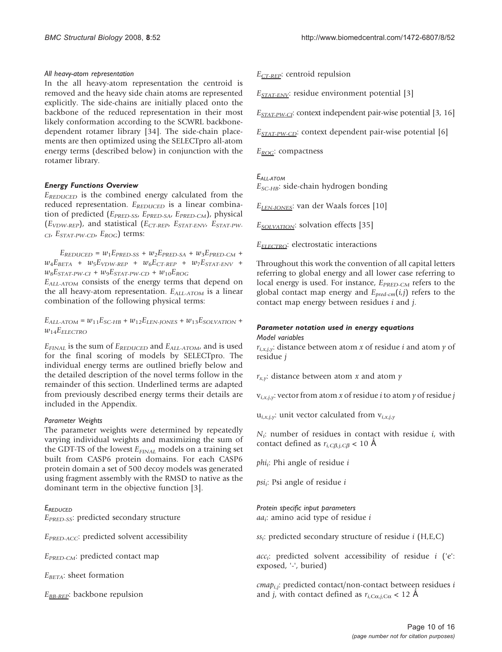### All heavy-atom representation

In the all heavy-atom representation the centroid is removed and the heavy side chain atoms are represented explicitly. The side-chains are initially placed onto the backbone of the reduced representation in their most likely conformation according to the SCWRL backbonedependent rotamer library [\[34](#page-15-0)]. The side-chain placements are then optimized using the SELECTpro all-atom energy terms (described below) in conjunction with the rotamer library.

### Energy Functions Overview

 $E_{REDUCED}$  is the combined energy calculated from the reduced representation.  $E_{REDUCED}$  is a linear combination of predicted ( $E_{PRED-SS}$ ,  $E_{PRED-SA}$ ,  $E_{PRED-CM}$ ), physical  $(E_{VDW-REP})$ , and statistical  $(E_{CT-REP}, E_{STAT-ENV}, E_{STAT-PW-}$  $_{CI}$ ,  $E_{STAT-PW-CD}$ ,  $E_{ROG}$ ) terms:

 $E_{REDUCED} = w_1 E_{PRED-SS} + w_2 E_{PRED-SA} + w_3 E_{PRED-CM} +$  $w_4E_{BETA}$  +  $w_5E_{VDW-REP}$  +  $w_6E_{CT-REP}$  +  $w_7E_{STAT-ENV}$  +  $w_8E_{STAT-PW-CI} + w_9E_{STAT-PW-CD} + w_{10}E_{ROC}$ 

 $E_{ALL-ATOM}$  consists of the energy terms that depend on the all heavy-atom representation.  $E_{ALL\text{-}ATOM}$  is a linear combination of the following physical terms:

 $E_{ALL-ATOM} = w_{11}E_{SC-HB} + w_{12}E_{LEN-JONES} + w_{13}E_{SOLVATION} +$  $w_{14}E_{ELECTRO}$ 

 $E_{\text{FINAL}}$  is the sum of  $E_{\text{REDUCED}}$  and  $E_{ALL\text{-}ATOM}$ , and is used for the final scoring of models by SELECTpro. The individual energy terms are outlined briefly below and the detailed description of the novel terms follow in the remainder of this section. Underlined terms are adapted from previously described energy terms their details are included in the Appendix.

### Parameter Weights

The parameter weights were determined by repeatedly varying individual weights and maximizing the sum of the GDT-TS of the lowest  $E_{FINAL}$  models on a training set built from CASP6 protein domains. For each CASP6 protein domain a set of 500 decoy models was generated using fragment assembly with the RMSD to native as the dominant term in the objective function [[3](#page-14-0)].

EREDUCED EPRED-SS: predicted secondary structure

EPRED-ACC: predicted solvent accessibility

 $E_{PRED-CM}$ : predicted contact map

 $E_{BETA}$ : sheet formation

 $E_{BB-REP}$ : backbone repulsion

 $E_{CT-REP}$ : centroid repulsion

 $E_{STAT\text{-}ENV}$ : residue environment potential [\[3\]](#page-14-0)

 $E_{STAT-PW\text{-}CI}$ : context independent pair-wise potential [\[3](#page-14-0), [16\]](#page-15-0)

 $E_{STAT-PW-CD}$ : context dependent pair-wise potential [[6\]](#page-14-0)

 $E_{ROG}$ : compactness

### EALL-ATOM

 $E_{SC-HB}$ : side-chain hydrogen bonding

 $E_{LEN-IONES}$ : van der Waals forces [\[10](#page-15-0)]

 $E_{\text{SOLVATION}}$ : solvation effects [[35\]](#page-15-0)

 $E_{\text{ELECIRO}}$ : electrostatic interactions

Throughout this work the convention of all capital letters referring to global energy and all lower case referring to local energy is used. For instance,  $E_{PRED-CM}$  refers to the global contact map energy and  $E_{pred-cm}(i,j)$  refers to the contact map energy between residues i and j.

### Parameter notation used in energy equations Model variables

 $r_{i,x,j,y}$ : distance between atom x of residue i and atom y of residue j

 $r_{x,y}$ : distance between atom x and atom y

 $v_{i,x,j,y}$ : vector from atom x of residue *i* to atom y of residue *j* 

 $u_{i,x,j,y}$ : unit vector calculated from  $v_{i,x,j,y}$ 

 $N_i$ : number of residues in contact with residue  $i$ , with contact defined as  $r_{i,C\beta,i,C\beta} < 10 \text{ Å}$ 

 $phi_i$ : Phi angle of residue i

 $psi_i$ : Psi angle of residue *i* 

Protein specific input parameters  $aa_i$ : amino acid type of residue i

 $ss_i$ : predicted secondary structure of residue *i* (H,E,C)

 $acc_i$ : predicted solvent accessibility of residue i ('e': exposed, '-', buried)

 $cmap_{i,i}$ : predicted contact/non-contact between residues i and *j*, with contact defined as  $r_{i,Ca,iCa}$  < 12 Å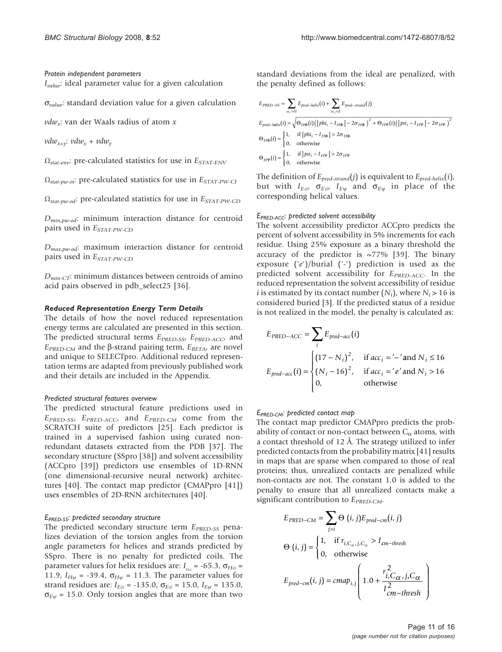Protein independent parameters  $I_{value}$ : ideal parameter value for a given calculation

 $\sigma_{value}$ : standard deviation value for a given calculation

 $vdw_x$ : van der Waals radius of atom x

 $vdw_{x+y}: vdw_x + vdw_y$ 

 $\Omega_{stat-env}$ : pre-calculated statistics for use in  $E_{STAT-ENV}$ 

 $\Omega_{stat-pw-oi}$ : pre-calculated statistics for use in  $E_{STAT-PW-CI}$ 

 $\Omega_{stat-pw-od}$ : pre-calculated statistics for use in  $E_{STAT-PW-CD}$ 

 $D_{min,ow-od}$ : minimum interaction distance for centroid pairs used in  $E_{STAT-PW-CD}$ 

 $D_{max,pw-od}$ : maximum interaction distance for centroid pairs used in  $E_{STAT-PW-CD}$ 

 $D_{min-CT}$ : minimum distances between centroids of amino acid pairs observed in pdb\_select25 [[36\]](#page-15-0).

#### Reduced Representation Energy Term Details

The details of how the novel reduced representation energy terms are calculated are presented in this section. The predicted structural terms E<sub>PRED-SS</sub>, E<sub>PRED-ACC</sub>, and  $E_{PRED-CM}$  and the  $\beta$ -strand pairing term,  $E_{BETA}$ , are novel and unique to SELECTpro. Additional reduced representation terms are adapted from previously published work and their details are included in the Appendix.

#### Predicted structural features overview

The predicted structural feature predictions used in EPRED-SS, EPRED-ACC, and EPRED-CM come from the SCRATCH suite of predictors [[25](#page-15-0)]. Each predictor is trained in a supervised fashion using curated nonredundant datasets extracted from the PDB [[37\]](#page-15-0). The secondary structure (SSpro [[38\]](#page-15-0)) and solvent accessibility (ACCpro [[39\]](#page-15-0)) predictors use ensembles of 1D-RNN (one dimensional-recursive neural network) architectures [\[40](#page-15-0)]. The contact map predictor (CMAPpro [[41\]](#page-15-0)) uses ensembles of 2D-RNN architectures [[40\]](#page-15-0).

#### $E_{PRED-SS}$ : predicted secondary structure

The predicted secondary structure term  $E_{PRED-SS}$  penalizes deviation of the torsion angles from the torsion angle parameters for helices and strands predicted by SSpro. There is no penalty for predicted coils. The parameter values for helix residues are:  $I_{H\phi}$  = -65.3,  $\sigma_{H\phi}$  = 11.9,  $I_{H\psi}$  = -39.4,  $\sigma_{H\psi}$  = 11.3. The parameter values for strand residues are:  $I_{E\phi}$  = -135.0,  $\sigma_{E\phi}$  = 15.0,  $I_{E\psi}$  = 135.0,  $\sigma_{E_{W}}$  = 15.0. Only torsion angles that are more than two

standard deviations from the ideal are penalized, with the penalty defined as follows:

$$
E_{PRED-SS} = \sum_{ss_i=H} E_{pred-helix}(i) + \sum_{ss_j=E} E_{pred-strand}(j)
$$
  
\n
$$
E_{pred-helix}(i) = \sqrt{\Theta_{H\Phi}(i) (\vert \rho h i_i - I_{H\Phi} \vert - 2\sigma_{H\Phi})^2 + \Theta_{H\Psi}(i) (\vert \rho s i_i - I_{H\Psi} \vert - 2\sigma_{H\Psi})^2}
$$
  
\n
$$
\Theta_{H\Phi}(i) = \begin{cases} 1, & \text{if } \vert \rho h i_i - I_{H\Phi} \vert > 2\sigma_{H\Phi} \\ 0, & \text{otherwise} \end{cases}
$$
  
\n
$$
\Theta_{H\Psi}(i) = \begin{cases} 1, & \text{if } \vert \rho s i_i - I_{H\Psi} \vert > 2\sigma_{H\Psi} \\ 0, & \text{otherwise} \end{cases}
$$

The definition of  $E_{pred-strand}(j)$  is equivalent to  $E_{pred-helix}(i)$ , but with  $I_{E\phi}$ ,  $\sigma_{E\phi}$ ,  $I_{E\psi}$  and  $\sigma_{E\psi}$  in place of the corresponding helical values.

#### E<sub>PRED-ACC</sub>: predicted solvent accessibility

The solvent accessibility predictor ACCpro predicts the percent of solvent accessibility in 5% increments for each residue. Using 25% exposure as a binary threshold the accuracy of the predictor is  $\approx$ 77% [[39](#page-15-0)]. The binary exposure  $('e')$ /burial  $('-)$  prediction is used as the predicted solvent accessibility for  $E_{PRED-ACC}$ . In the reduced representation the solvent accessibility of residue *i* is estimated by its contact number  $(N_i)$ , where  $N_i > 16$  is considered buried [[3](#page-14-0)]. If the predicted status of a residue is not realized in the model, the penalty is calculated as:

$$
E_{PRED-ACC} = \sum_{i} E_{pred-acc}(i)
$$
  
\n
$$
E_{pred-acc}(i) = \begin{cases} (17 - N_i)^2, & \text{if } acc_i = -' \text{ and } N_i \le 16\\ (N_i - 16)^2, & \text{if } acc_i = 'e' \text{ and } N_i > 16\\ 0, & \text{otherwise} \end{cases}
$$

#### E<sub>PRED-CM</sub>: predicted contact map

The contact map predictor CMAPpro predicts the probability of contact or non-contact between  $C_{\alpha}$  atoms, with a contact threshold of 12 Å. The strategy utilized to infer predicted contacts from the probability matrix [[41\]](#page-15-0) results in maps that are sparse when compared to those of real proteins; thus, unrealized contacts are penalized while non-contacts are not. The constant 1.0 is added to the penalty to ensure that all unrealized contacts make a significant contribution to  $E_{PRED-CM}$ .

$$
E_{PRED-CM} = \sum_{j>i} \Theta(i, j) E_{pred-cm}(i, j)
$$
  
\n
$$
\Theta(i, j) = \begin{cases} 1, & \text{if } r_{i, C_{\alpha}, j, C_{\alpha}} > I_{cm-thresh} \\ 0, & \text{otherwise} \end{cases}
$$
  
\n
$$
E_{pred-cm}(i, j) = cmap_{i,j} \left(1.0 + \frac{r_{i, C_{\alpha}, j, C_{\alpha}}}{I_{cm-thresh}^2}\right)
$$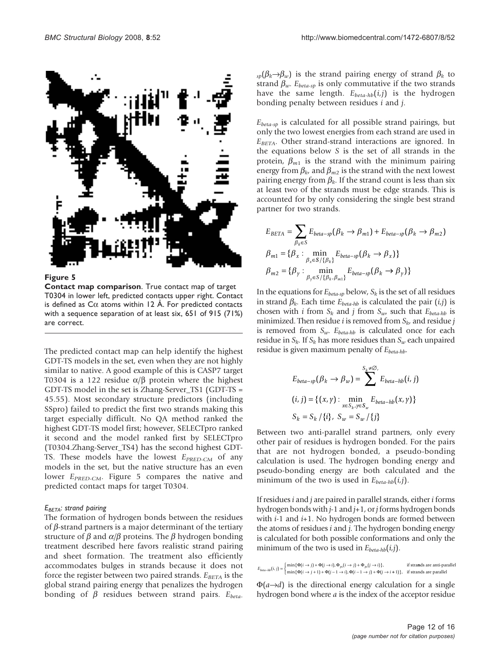

Figure 5

Contact map comparison. True contact map of target T0304 in lower left, predicted contacts upper right. Contact is defined as  $C\alpha$  atoms within 12 Å. For predicted contacts with a sequence separation of at least six, 651 of 915 (71%) are correct.

The predicted contact map can help identify the highest GDT-TS models in the set, even when they are not highly similar to native. A good example of this is CASP7 target T0304 is a 122 residue  $\alpha/\beta$  protein where the highest GDT-TS model in the set is Zhang-Server\_TS1 (GDT-TS = 45.55). Most secondary structure predictors (including SSpro) failed to predict the first two strands making this target especially difficult. No QA method ranked the highest GDT-TS model first; however, SELECTpro ranked it second and the model ranked first by SELECTpro (T0304.Zhang-Server\_TS4) has the second highest GDT-TS. These models have the lowest  $E_{PRED-CM}$  of any models in the set, but the native structure has an even lower  $E_{PRED-CM}$ . Figure 5 compares the native and predicted contact maps for target T0304.

#### $E_{BETA}$ : strand pairing

The formation of hydrogen bonds between the residues of  $\beta$ -strand partners is a major determinant of the tertiary structure of  $\beta$  and  $\alpha/\beta$  proteins. The  $\beta$  hydrogen bonding treatment described here favors realistic strand pairing and sheet formation. The treatment also efficiently accommodates bulges in strands because it does not force the register between two paired strands.  $E_{BETA}$  is the global strand pairing energy that penalizes the hydrogen bonding of  $\beta$  residues between strand pairs.  $E_{beta}$ 

 $\kappa_{\rm sp}(\beta_k\rightarrow\beta_w)$  is the strand pairing energy of strand  $\beta_k$  to strand  $\beta_w$ .  $E_{beta-sp}$  is only commutative if the two strands have the same length.  $E_{beta-hb}(i,j)$  is the hydrogen bonding penalty between residues i and j.

 $E_{beta-sp}$  is calculated for all possible strand pairings, but only the two lowest energies from each strand are used in  $E<sub>BETA</sub>$ . Other strand-strand interactions are ignored. In the equations below S is the set of all strands in the protein,  $\beta_{m1}$  is the strand with the minimum pairing energy from  $\beta_{k}$ , and  $\beta_{m2}$  is the strand with the next lowest pairing energy from  $\beta_k$ . If the strand count is less than six at least two of the strands must be edge strands. This is accounted for by only considering the single best strand partner for two strands.

$$
E_{BETA} = \sum_{\beta_k \in S} E_{beta-sp}(\beta_k \to \beta_{m1}) + E_{beta-sp}(\beta_k \to \beta_{m2})
$$
  

$$
\beta_{m1} = \{\beta_x : \min_{\beta_x \in S/\{\beta_k\}} E_{beta-sp}(\beta_k \to \beta_x)\}
$$
  

$$
\beta_{m2} = \{\beta_y : \min_{\beta_y \in S/\{\beta_k, \beta_{m1}\}} E_{beta-sp}(\beta_k \to \beta_y)\}
$$

In the equations for  $E_{beta-sp}$  below,  $S_k$  is the set of all residues in strand  $\beta_k$ . Each time  $E_{beta-hb}$  is calculated the pair  $(i,j)$  is chosen with *i* from  $S_k$  and *j* from  $S_{uv}$  such that  $E_{beta-hb}$  is minimized. Then residue *i* is removed from  $S_{k}$ , and residue *j* is removed from  $S_w$ .  $E_{beta-hb}$  is calculated once for each residue in  $S_k$ . If  $S_k$  has more residues than  $S_w$  each unpaired residue is given maximum penalty of  $E_{beta-hb}$ .

$$
E_{beta-sp}(\beta_k \to \beta_w) = \sum_{x \in S_k, y \in S_w}^{S_k \neq \emptyset} E_{beta-hb}(i, j)
$$
  
(*i*, *j*) = {(*x*, *y*) : 
$$
\min_{x \in S_k, y \in S_w} E_{beta-hb}(x, y)
$$
}  

$$
S_k = S_k / \{i\}, S_w = S_w / \{j\}
$$

Between two anti-parallel strand partners, only every other pair of residues is hydrogen bonded. For the pairs that are not hydrogen bonded, a pseudo-bonding calculation is used. The hydrogen bonding energy and pseudo-bonding energy are both calculated and the minimum of the two is used in  $E_{beta-hb}(i,j)$ .

If residues  $i$  and  $j$  are paired in parallel strands, either  $i$  forms hydrogen bonds with  $j-1$  and  $j+1$ , or  $j$  forms hydrogen bonds with  $i-1$  and  $i+1$ . No hydrogen bonds are formed between the atoms of residues i and j. The hydrogen bonding energy is calculated for both possible conformations and only the minimum of the two is used in  $E_{beta-hb}(i,j)$ .

$$
E_{beta-hb}(i,j) = \begin{cases} \min\{\Phi(i \rightarrow j) + \Phi(j \rightarrow i), \Phi_{ps}(i \rightarrow j) + \Phi_{ps}(j \rightarrow i)\}, & \text{if strands are anti-parallel} \\ \min\{\Phi(i \rightarrow j + 1) + \Phi(j - 1 \rightarrow i), \Phi(i - 1 \rightarrow j) + \Phi(j \rightarrow i + 1)\}, & \text{if strands are parallel} \end{cases}
$$

 $\Phi(a\rightarrow d)$  is the directional energy calculation for a single hydrogen bond where a is the index of the acceptor residue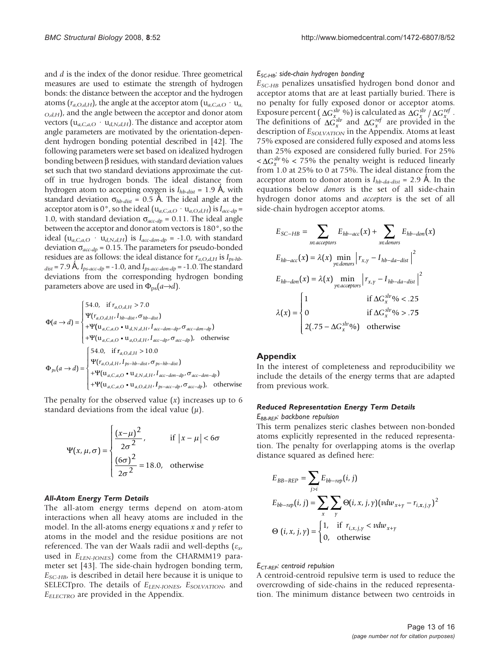and d is the index of the donor residue. Three geometrical measures are used to estimate the strength of hydrogen bonds: the distance between the acceptor and the hydrogen atoms  $(r_{a,O,d,H})$ , the angle at the acceptor atom  $(u_{a,C,a,O} \cdot u_{a,B})$  $_{O,d,H}$ ), and the angle between the acceptor and donor atom vectors  $(u_{a,C,a,O} \cdot u_{d,N,d,H})$ . The distance and acceptor atom angle parameters are motivated by the orientation-dependent hydrogen bonding potential described in [[42](#page-15-0)]. The following parameters were set based on idealized hydrogen bonding between  $\beta$  residues, with standard deviation values set such that two standard deviations approximate the cutoff in true hydrogen bonds. The ideal distance from hydrogen atom to accepting oxygen is  $I_{hb\text{-}dist} = 1.9$  Å, with standard deviation  $\sigma_{hb\text{-}dist} = 0.5$  Å. The ideal angle at the acceptor atom is 0°, so the ideal ( $u_{a,C,a,O} \cdot u_{a,O,d,H}$ ) is  $I_{acc-dp}$  = 1.0, with standard deviation  $\sigma_{acc-dp} = 0.11$ . The ideal angle between the acceptor and donor atom vectors is 180°, so the ideal  $(u_{a,C,a,O} \cdot u_{d,N,d,H})$  is  $I_{acc-don-dp} = -1.0$ , with standard deviation  $\sigma_{acc-dp}$  = 0.15. The parameters for pseudo-bonded residues are as follows: the ideal distance for  $r_{a,O,d,H}$  is  $I_{ps-hb}$ .  $_{dist}$  = 7.9 Å,  $I_{ps-acc-dp}$  = -1.0, and  $I_{ps-acc-don-dp}$  = -1.0. The standard deviations from the corresponding hydrogen bonding parameters above are used in  $\Phi_{\text{ps}}(a \rightarrow d)$ .

$$
\Phi(a \to d) = \begin{cases}\n54.0, & \text{if } r_{a,O,d,H} > 7.0 \\
\Psi(r_{a,O,d,H}, I_{hb-dist}, \sigma_{hb-dist}) \\
+ \Psi(\mathbf{u}_{a,C,a,O} \bullet \mathbf{u}_{d,N,d,H}, I_{acc-don-dp}, \sigma_{acc-don-dp}) \\
+ \Psi(\mathbf{u}_{a,C,a,O} \bullet \mathbf{u}_{a,O,d,H}, I_{acc-dp}, \sigma_{acc-dp}), \quad \text{otherwise} \\
+ \Psi(\mathbf{u}_{a,C,a,O} \bullet \mathbf{u}_{a,O,d,H} > 10.0 \\
\Phi_{ps}(a \to d) = \begin{cases}\n54.0, & \text{if } r_{a,O,d,H} > 10.0 \\
\Psi(r_{a,O,d,H}, I_{ps-hb-dist}, \sigma_{ps-hb-dist}) \\
+ \Psi(\mathbf{u}_{a,C,a,O} \bullet \mathbf{u}_{d,N,d,H}, I_{acc-don-dp}, \sigma_{acc-don-dp}) \\
+ \Psi(\mathbf{u}_{a,C,a,O} \bullet \mathbf{u}_{a,O,d,H}, I_{ps-acc-dp}, \sigma_{acc-dp}), \quad \text{otherwise}\n\end{cases}
$$

The penalty for the observed value  $(x)$  increases up to 6 standard deviations from the ideal value  $(\mu)$ .

$$
\Psi(x, \mu, \sigma) = \begin{cases} \frac{(x-\mu)^2}{2\sigma^2}, & \text{if } |x-\mu| < 6\sigma\\ \frac{(6\sigma)^2}{2\sigma^2} = 18.0, & \text{otherwise} \end{cases}
$$

#### All-Atom Energy Term Details

The all-atom energy terms depend on atom-atom interactions when all heavy atoms are included in the model. In the all-atoms energy equations  $x$  and  $y$  refer to atoms in the model and the residue positions are not referenced. The van der Waals radii and well-depths ( $\varepsilon_{x}$ , used in  $E_{LEN-JONES}$ ) come from the CHARMM19 parameter set [\[43](#page-15-0)]. The side-chain hydrogen bonding term,  $E_{SC-HB}$ , is described in detail here because it is unique to SELECTpro. The details of ELEN-JONES, ESOLVATION, and  $E_{ELECTRO}$  are provided in the Appendix.

#### $E_{SC-HB}$ : side-chain hydrogen bonding

 $E_{SC-HB}$  penalizes unsatisfied hydrogen bond donor and acceptor atoms that are at least partially buried. There is no penalty for fully exposed donor or acceptor atoms. Exposure percent  $(\Delta G_x^{slv} \, \% )$  is calculated as  $\Delta G_x^{slv} / \Delta G_x^{ref}$ . The definitions of  $\Delta G_x^{slv}$  and  $\Delta G_x^{ref}$  are provided in the description of  $E_{SOLVATION}$  in the Appendix. Atoms at least 75% exposed are considered fully exposed and atoms less than 25% exposed are considered fully buried. For 25%  $< \Delta G_x^{slv}$ % < 75% the penalty weight is reduced linearly from 1.0 at 25% to 0 at 75%. The ideal distance from the acceptor atom to donor atom is  $I_{hb\text{-}da\text{-}dist} = 2.9$  Å. In the equations below donors is the set of all side-chain hydrogen donor atoms and acceptors is the set of all side-chain hydrogen acceptor atoms.

$$
E_{SC-HB} = \sum_{x \in acceptors} E_{hb-acc}(x) + \sum_{x \in donors} E_{hb-don}(x)
$$
  
\n
$$
E_{hb-acc}(x) = \lambda(x) \min_{y \in donors} |r_{x,y} - I_{hb-da-dist}|^2
$$
  
\n
$$
E_{hb-don}(x) = \lambda(x) \min_{y \in acceptors} |r_{x,y} - I_{hb-da-dist}|^2
$$
  
\n
$$
\lambda(x) = \begin{cases} 1 & \text{if } \Delta G_x^{slv} \% < .25 \\ 0 & \text{if } \Delta G_x^{slv} \% > .75 \\ 2(.75 - \Delta G_x^{slv} \%) & \text{otherwise} \end{cases}
$$

#### Appendix

In the interest of completeness and reproducibility we include the details of the energy terms that are adapted from previous work.

### Reduced Representation Energy Term Details

#### E<sub>BB-REP</sub>: backbone repulsion

This term penalizes steric clashes between non-bonded atoms explicitly represented in the reduced representation. The penalty for overlapping atoms is the overlap distance squared as defined here:

$$
E_{BB-REP} = \sum_{j>i} E_{bb-rep}(i, j)
$$
  
\n
$$
E_{bb-rep}(i, j) = \sum_{x} \sum_{y} \Theta(i, x, j, y) (vdw_{x+y} - r_{i,x,j,y})^2
$$
  
\n
$$
\Theta(i, x, j, y) = \begin{cases} 1, & \text{if } r_{i,x,j,y} < vdu_{x+y} \\ 0, & \text{otherwise} \end{cases}
$$

#### E<sub>CT-REP</sub>: centroid repulsion

A centroid-centroid repulsive term is used to reduce the overcrowding of side-chains in the reduced representation. The minimum distance between two centroids in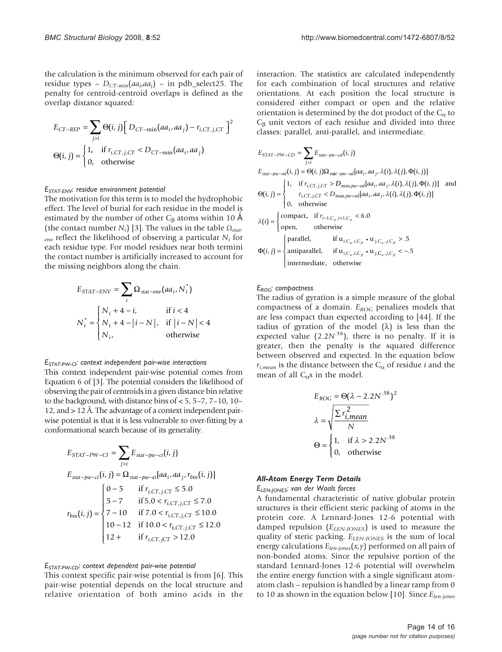the calculation is the minimum observed for each pair of residue types –  $D_{CT-min}(aa_i,aa_i)$  – in pdb\_select25. The penalty for centroid-centroid overlaps is defined as the overlap distance squared:

$$
E_{CT-REP} = \sum_{j>i} \Theta(i, j) \Big[ D_{CT-min}(aa_i, aa_j) - r_{i,CT,j,CT} \Big]^2
$$
  

$$
\Theta(i, j) = \begin{cases} 1, & \text{if } r_{i,CT,j,CT} < D_{CT-min}(aa_i, aa_j) \\ 0, & \text{otherwise} \end{cases}
$$

#### ESTAT-ENV: residue environment potential

The motivation for this term is to model the hydrophobic effect. The level of burial for each residue in the model is estimated by the number of other  $C_\beta$  atoms within 10 Å (the contact number  $N_i$ ) [\[3\]](#page-14-0). The values in the table  $\Omega_{\text{stat}}$ .  $_{env}$  reflect the likelihood of observing a particular  $N_i$  for each residue type. For model residues near both termini the contact number is artificially increased to account for the missing neighbors along the chain.

$$
E_{STAT-ENV} = \sum_{i} \Omega_{stat-env}(aa_i, N_i^*)
$$
  

$$
N_i^* = \begin{cases} N_i + 4 - i, & \text{if } i < 4\\ N_i + 4 - |i - N|, & \text{if } |i - N| < 4\\ N_i, & \text{otherwise} \end{cases}
$$

#### $E_{STAT-PW-Cl}$ : context independent pair-wise interactions

This context independent pair-wise potential comes from Equation 6 of [\[3](#page-14-0)]. The potential considers the likelihood of observing the pair of centroids in a given distance bin relative to the background, with distance bins of < 5, 5–7, 7–10, 10– 12, and > 12 Å. The advantage of a context independent pairwise potential is that it is less vulnerable to over-fitting by a conformational search because of its generality.

$$
E_{STAT-PW-CI} = \sum_{j>i} E_{stat-pw-ci}(i, j)
$$
  
\n
$$
E_{stat-pw-ci}(i, j) = \Omega_{stat-pw-ci}[aa_i, aa_j, r_{bin}(i, j)]
$$
  
\n
$$
F_{sim}(i, j) = \begin{cases} 0 - 5 & \text{if } r_{i,CT,j,CT} \le 5.0 \\ 5 - 7 & \text{if } 5.0 < r_{i,CT,j,CT} \le 7.0 \\ 7 - 10 & \text{if } 7.0 < r_{i,CT,j,CT} \le 10.0 \\ 10 - 12 & \text{if } 10.0 < r_{i,CT,j,CT} \le 12.0 \\ 12 + & \text{if } r_{i,CT,jCT} > 12.0 \end{cases}
$$

#### ESTAT-PW-CD: context dependent pair-wise potential

This context specific pair-wise potential is from [\[6\]](#page-14-0). This pair-wise potential depends on the local structure and relative orientation of both amino acids in the interaction. The statistics are calculated independently for each combination of local structures and relative orientations. At each position the local structure is considered either compact or open and the relative orientation is determined by the dot product of the  $C_{\alpha}$  to  $C_\beta$  unit vectors of each residue and divided into three classes: parallel, anti-parallel, and intermediate.

$$
E_{STAT-PW-CD} = \sum_{j>i} E_{stat-pw-cd}(i, j)
$$
  
\n
$$
E_{stat-pw-od}(i, j) = \Theta(i, j)\Omega_{stat-pw-od}[aa_i, aa_j, \lambda(i), \lambda(j), \Phi(i, j)]
$$
  
\n
$$
\Theta(i, j) = \begin{cases} 1, & \text{if } r_{i,CT, j,CT} > D_{\min, pw-od}[aa_i, aa_j, \lambda(i), \lambda(j), \Phi(i, j)] \\ 0, & \text{otherwise} \end{cases}
$$
  
\n
$$
\lambda(i) = \begin{cases} \text{compact}, & \text{if } r_{i-1,C_{\alpha}, i+1,C_{\alpha}} < 6.0 \\ \text{open}, & \text{otherwise} \end{cases}
$$
  
\n
$$
\lambda(i) = \begin{cases} \text{compat}, & \text{if } r_{i-1,C_{\alpha}, i+1,C_{\alpha}} < 6.0 \\ \text{open}, & \text{otherwise} \end{cases}
$$
  
\n
$$
\Phi(i, j) = \begin{cases} \text{parallel}, & \text{if } u_{i,C_{\alpha}, i,C_{\beta}} \cdot u_{j,C_{\alpha}, j,C_{\beta}} > .5 \\ \text{antiparallel}, & \text{if } u_{i,C_{\alpha}, i,C_{\beta}} \cdot u_{j,C_{\alpha}, j,C_{\beta}} < -.5 \\ \text{intermediate}, & \text{otherwise} \end{cases}
$$

#### $E_{ROG}$ : compactness

The radius of gyration is a simple measure of the global compactness of a domain.  $E_{ROC}$  penalizes models that are less compact than expected according to [[44\]](#page-15-0). If the radius of gyration of the model  $(\lambda)$  is less than the expected value  $(2.2N^{38})$ , there is no penalty. If it is greater, then the penalty is the squared difference between observed and expected. In the equation below  $r_{i,mean}$  is the distance between the  $C_{\alpha}$  of residue *i* and the mean of all  $C_{\alpha}$ s in the model.

$$
E_{ROG} = \Theta(\lambda - 2.2N^{.38})^2
$$

$$
\lambda = \sqrt{\frac{\sum r_{i,mean}^2}{N}}
$$

$$
\Theta = \begin{cases} 1, & \text{if } \lambda > 2.2N^{.38} \\ 0, & \text{otherwise} \end{cases}
$$

#### All-Atom Energy Term Details

ELEN-JONES: van der Waals forces

A fundamental characteristic of native globular protein structures is their efficient steric packing of atoms in the protein core. A Lennard-Jones 12-6 potential with damped repulsion  $(E_{LEN\text{-}IONES})$  is used to measure the quality of steric packing.  $E_{LEN-JONES}$  is the sum of local energy calculations  $E_{len-jones}(x, y)$  performed on all pairs of non-bonded atoms. Since the repulsive portion of the standard Lennard-Jones 12-6 potential will overwhelm the entire energy function with a single significant atomatom clash – repulsion is handled by a linear ramp from 0 to 10 as shown in the equation below [[10\]](#page-15-0). Since  $E_{len\-jones}$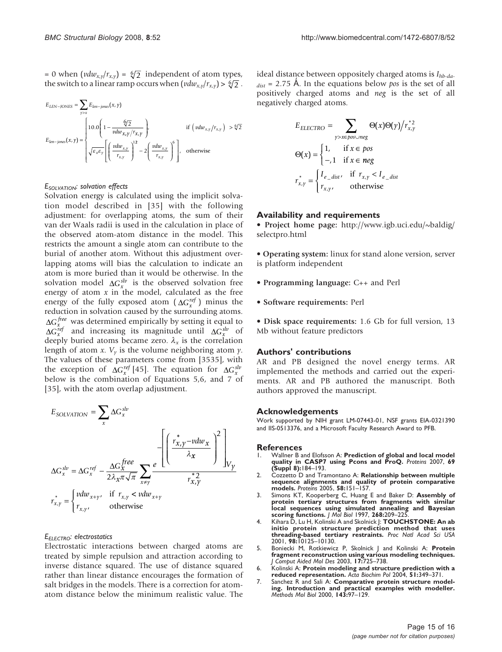<span id="page-14-0"></span>= 0 when  $(vdw_{x,y}/r_{x,y}) = \sqrt[6]{2}$  independent of atom types, the switch to a linear ramp occurs when  $(vdw_{x,y}/r_{x,y}) > \sqrt[6]{2}$ .

$$
E_{LEN-JONES} = \sum_{\gamma \succ x} E_{len-jones}(x, \gamma)
$$
  
\n
$$
E_{len-jones}(x, \gamma) = \begin{cases} 10.0 \left(1 - \frac{\sqrt[6]{2}}{vdw_{x,\gamma}}\right), & \text{if } \left(vdw_{x,\gamma}/r_{x,\gamma}\right) > \sqrt[6]{2} \\ \sqrt{\varepsilon_x \varepsilon_y} \left[\left(\frac{vdw_{x,\gamma}}{r_{x,\gamma}}\right)^{12} - 2\left(\frac{vdw_{x,\gamma}}{r_{x,\gamma}}\right)^6\right], & \text{otherwise} \end{cases}
$$

#### E<sub>SOLVATION</sub>: solvation effects

Solvation energy is calculated using the implicit solvation model described in [[35\]](#page-15-0) with the following adjustment: for overlapping atoms, the sum of their van der Waals radii is used in the calculation in place of the observed atom-atom distance in the model. This restricts the amount a single atom can contribute to the burial of another atom. Without this adjustment overlapping atoms will bias the calculation to indicate an atom is more buried than it would be otherwise. In the solvation model  $\Delta G_x^{slv}$  is the observed solvation free energy of atom  $x$  in the model, calculated as the free energy of the fully exposed atom  $(\Delta G_x^{ref})$  minus the reduction in solvation caused by the surrounding atoms. Δ*Gx free* was determined empirically by setting it equal to  $\Delta G_x^{ref}$  and increasing its magnitude until  $\Delta G_x^{slv}$  of deeply buried atoms became zero.  $\lambda_x$  is the correlation length of atom x.  $V_y$  is the volume neighboring atom  $y$ . The values of these parameters come from [3535], with the exception of  $\Delta G_x^{ref}$  [\[45](#page-15-0)]. The equation for  $\Delta G_x^{sh}$ below is the combination of Equations 5,6, and 7 of [[35\]](#page-15-0), with the atom overlap adjustment.

$$
E_{SOLVATION} = \sum_{x} \Delta G_x^{slv}
$$
  

$$
\Delta G_x^{slv} = \Delta G_x^{ref} - \frac{\Delta G_x^{free}}{2\lambda_x \pi \sqrt{\pi}} \sum_{x \neq y} \frac{e^{-x} \left[ \left( \frac{r_{x,y}^* - v dw_x}{\lambda_x} \right)^2 \right] \sqrt{V_y}}{r_{x,y}^{*2}}
$$
  

$$
r_{x,y}^{*} = \begin{cases} v dw_{x+y}, & \text{if } r_{x,y} < v dw_{x+y} \\ r_{x,y}, & \text{otherwise} \end{cases}
$$

### E<sub>ELECTRO</sub>: electrostatics

Electrostatic interactions between charged atoms are treated by simple repulsion and attraction according to inverse distance squared. The use of distance squared rather than linear distance encourages the formation of salt bridges in the models. There is a correction for atomatom distance below the minimum realistic value. The

ideal distance between oppositely charged atoms is  $I_{hb\text{-}da\text{-}}$  $_{dist}$  = 2.75 Å. In the equations below pos is the set of all positively charged atoms and neg is the set of all negatively charged atoms.

$$
E_{ELECTRO} = \sum_{\gamma > x \in pos\cup neg} \Theta(x)\Theta(\gamma)/r_{x,\gamma}^{*2}
$$

$$
\Theta(x) = \begin{cases} 1, & \text{if } x \in pos \\ -.1 & \text{if } x \in neg \end{cases}
$$

$$
r_{x,\gamma}^{*} = \begin{cases} I_{e\_dist}, & \text{if } r_{x,\gamma} < I_{e\_dist} \\ r_{x,\gamma}, & \text{otherwise} \end{cases}
$$

#### Availability and requirements

• Project home page: [http://www.igb.uci.edu/~baldig/](http://www.igb.uci.edu/~baldig/selectpro.html) [selectpro.html](http://www.igb.uci.edu/~baldig/selectpro.html)

• Operating system: linux for stand alone version, server is platform independent

- Programming language: C++ and Perl
- Software requirements: Perl

• Disk space requirements: 1.6 Gb for full version, 13 Mb without feature predictors

#### Authors' contributions

AR and PB designed the novel energy terms. AR implemented the methods and carried out the experiments. AR and PB authored the manuscript. Both authors approved the manuscript.

#### Acknowledgements

Work supported by NIH grant LM-07443-01, NSF grants EIA-0321390 and IIS-0513376, and a Microsoft Faculty Research Award to PFB.

# **References**<br>L. Wallner B a

- 1. Wallner B and Elofsson A: [Prediction of global and local model](http://www.ncbi.nlm.nih.gov/pubmed/17894353?dopt=Abstract) [quality in CASP7 using Pcons and ProQ.](http://www.ncbi.nlm.nih.gov/pubmed/17894353?dopt=Abstract) Proteins 2007, 69 (Suppl 8):184–193.
- 2. Cozzetto D and Tramontano A: [Relationship between multiple](http://www.ncbi.nlm.nih.gov/pubmed/15495137?dopt=Abstract) [sequence alignments and quality of protein comparative](http://www.ncbi.nlm.nih.gov/pubmed/15495137?dopt=Abstract) [models.](http://www.ncbi.nlm.nih.gov/pubmed/15495137?dopt=Abstract) Proteins 2005, 58:151–157.
- 3. Simons KT, Kooperberg C, Huang E and Baker D: [Assembly of](http://www.ncbi.nlm.nih.gov/pubmed/9149153?dopt=Abstract) [protein tertiary structures from fragments with similar](http://www.ncbi.nlm.nih.gov/pubmed/9149153?dopt=Abstract) [local sequences using simulated annealing and Bayesian](http://www.ncbi.nlm.nih.gov/pubmed/9149153?dopt=Abstract) [scoring functions.](http://www.ncbi.nlm.nih.gov/pubmed/9149153?dopt=Abstract) J Mol Biol 1997, 268:209–225.
- 4. Kihara D, Lu H, Kolinski A and Skolnick J: [TOUCHSTONE: An ab](http://www.ncbi.nlm.nih.gov/pubmed/11504922?dopt=Abstract) [initio protein structure prediction method that uses](http://www.ncbi.nlm.nih.gov/pubmed/11504922?dopt=Abstract) [threading-based tertiary restraints.](http://www.ncbi.nlm.nih.gov/pubmed/11504922?dopt=Abstract) Proc Natl Acad Sci USA 2001, 98:10125–10130.
- 5. Boniecki M, Rotkiewicz P, Skolnick J and Kolinski A: [Protein](http://www.ncbi.nlm.nih.gov/pubmed/15072433?dopt=Abstract) [fragment reconstruction using various modeling techniques.](http://www.ncbi.nlm.nih.gov/pubmed/15072433?dopt=Abstract) J Comput Aided Mol Des 2003, 17:725–738.
- 6. Kolinski A: [Protein modeling and structure prediction with a](http://www.ncbi.nlm.nih.gov/pubmed/15218533?dopt=Abstract) [reduced representation.](http://www.ncbi.nlm.nih.gov/pubmed/15218533?dopt=Abstract) Acta Biochim Pol 2004, 51:349–371.
- 7. Sanchez R and Sali A: [Comparative protein structure model](http://www.ncbi.nlm.nih.gov/pubmed/11084904?dopt=Abstract)[ing. Introduction and practical examples with modeller.](http://www.ncbi.nlm.nih.gov/pubmed/11084904?dopt=Abstract) Methods Mol Biol 2000, 143:97–129.